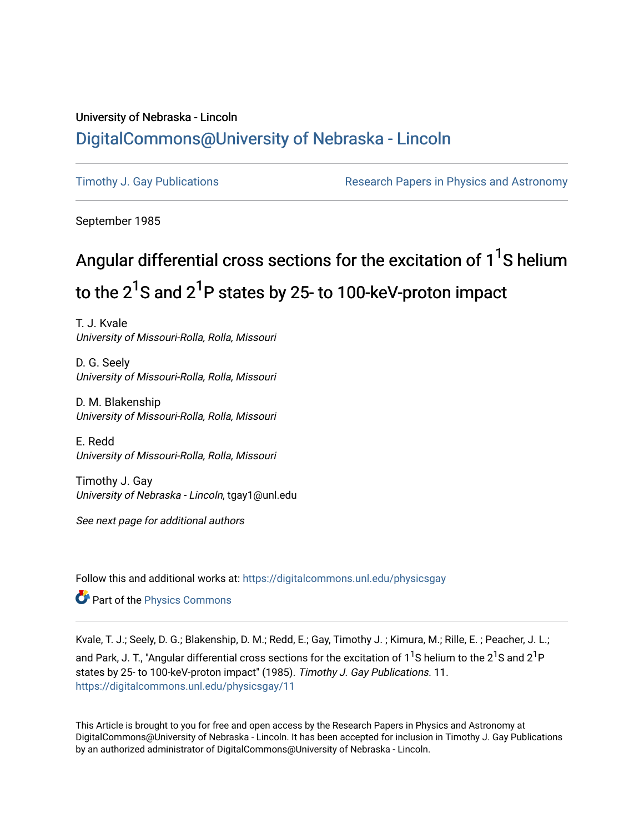## University of Nebraska - Lincoln [DigitalCommons@University of Nebraska - Lincoln](https://digitalcommons.unl.edu/)

[Timothy J. Gay Publications](https://digitalcommons.unl.edu/physicsgay) **Research Papers in Physics and Astronomy** 

September 1985

# Angular differential cross sections for the excitation of 1<sup>1</sup>S helium to the 2 $^{\sf 1}$ S and 2 $^{\sf 1}$ P states by 25- to 100-keV-proton impact

T. J. Kvale University of Missouri-Rolla, Rolla, Missouri

D. G. Seely University of Missouri-Rolla, Rolla, Missouri

D. M. Blakenship University of Missouri-Rolla, Rolla, Missouri

E. Redd University of Missouri-Rolla, Rolla, Missouri

Timothy J. Gay University of Nebraska - Lincoln, tgay1@unl.edu

See next page for additional authors

Follow this and additional works at: [https://digitalcommons.unl.edu/physicsgay](https://digitalcommons.unl.edu/physicsgay?utm_source=digitalcommons.unl.edu%2Fphysicsgay%2F11&utm_medium=PDF&utm_campaign=PDFCoverPages)

Part of the [Physics Commons](http://network.bepress.com/hgg/discipline/193?utm_source=digitalcommons.unl.edu%2Fphysicsgay%2F11&utm_medium=PDF&utm_campaign=PDFCoverPages)

Kvale, T. J.; Seely, D. G.; Blakenship, D. M.; Redd, E.; Gay, Timothy J. ; Kimura, M.; Rille, E. ; Peacher, J. L.; and Park, J. T., "Angular differential cross sections for the excitation of 1<sup>1</sup>S helium to the 2<sup>1</sup>S and 2<sup>1</sup>P states by 25- to 100-keV-proton impact" (1985). Timothy J. Gay Publications. 11. [https://digitalcommons.unl.edu/physicsgay/11](https://digitalcommons.unl.edu/physicsgay/11?utm_source=digitalcommons.unl.edu%2Fphysicsgay%2F11&utm_medium=PDF&utm_campaign=PDFCoverPages) 

This Article is brought to you for free and open access by the Research Papers in Physics and Astronomy at DigitalCommons@University of Nebraska - Lincoln. It has been accepted for inclusion in Timothy J. Gay Publications by an authorized administrator of DigitalCommons@University of Nebraska - Lincoln.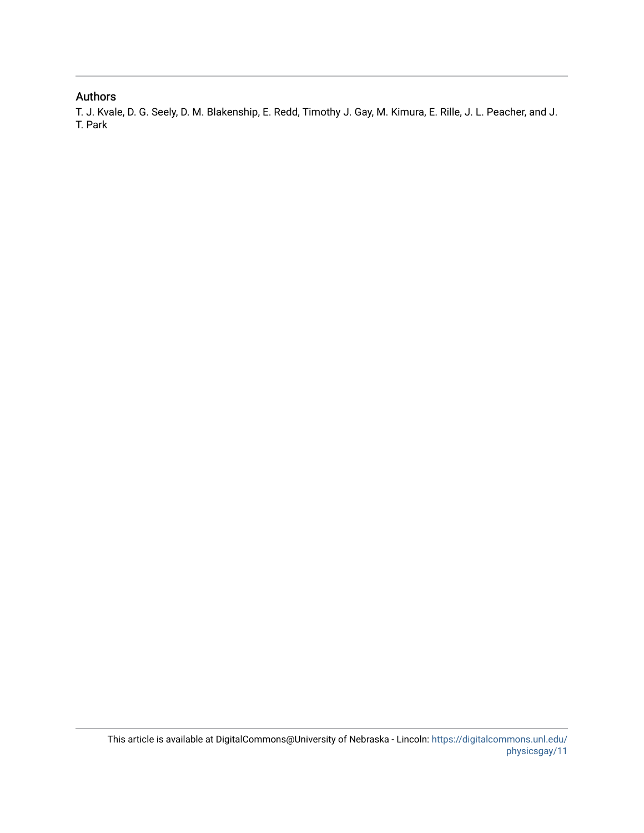### Authors

T. J. Kvale, D. G. Seely, D. M. Blakenship, E. Redd, Timothy J. Gay, M. Kimura, E. Rille, J. L. Peacher, and J. T. Park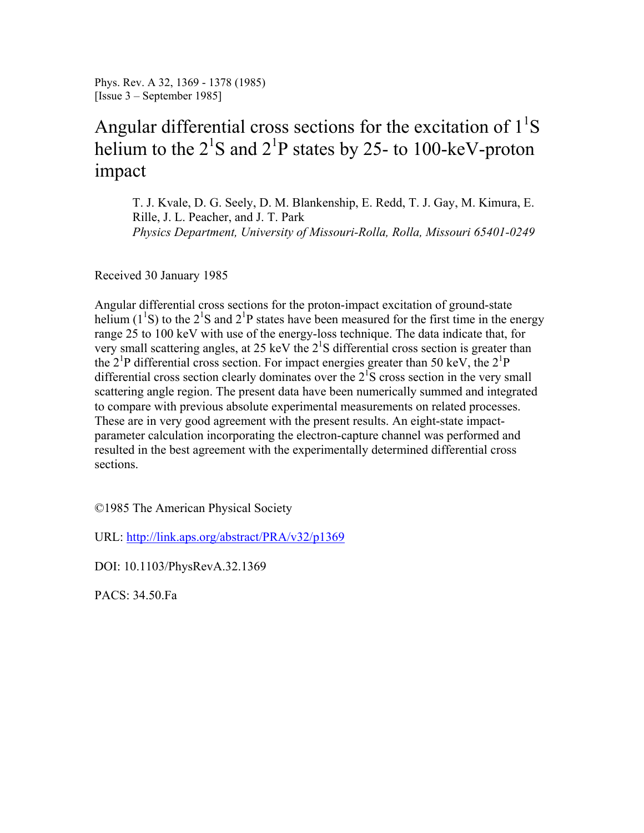Phys. Rev. A 32, 1369 - 1378 (1985) [Issue 3 – September 1985]

# Angular differential cross sections for the excitation of  $1^1S$ helium to the  $2^{1}S$  and  $2^{1}P$  states by 25- to 100-keV-proton impact

T. J. Kvale, D. G. Seely, D. M. Blankenship, E. Redd, T. J. Gay, M. Kimura, E. Rille, J. L. Peacher, and J. T. Park *Physics Department, University of Missouri-Rolla, Rolla, Missouri 65401-0249* 

Received 30 January 1985

Angular differential cross sections for the proton-impact excitation of ground-state helium ( $1^1$ S) to the  $2^1$ S and  $2^1$ P states have been measured for the first time in the energy range 25 to 100 keV with use of the energy-loss technique. The data indicate that, for very small scattering angles, at 25 keV the  $2^{1}S$  differential cross section is greater than the  $2^{1}P$  differential cross section. For impact energies greater than 50 keV, the  $2^{1}P$ differential cross section clearly dominates over the  $2^{1}S$  cross section in the very small scattering angle region. The present data have been numerically summed and integrated to compare with previous absolute experimental measurements on related processes. These are in very good agreement with the present results. An eight-state impactparameter calculation incorporating the electron-capture channel was performed and resulted in the best agreement with the experimentally determined differential cross sections.

©1985 The American Physical Society

URL: http://link.aps.org/abstract/PRA/v32/p1369

DOI: 10.1103/PhysRevA.32.1369

PACS: 34.50.Fa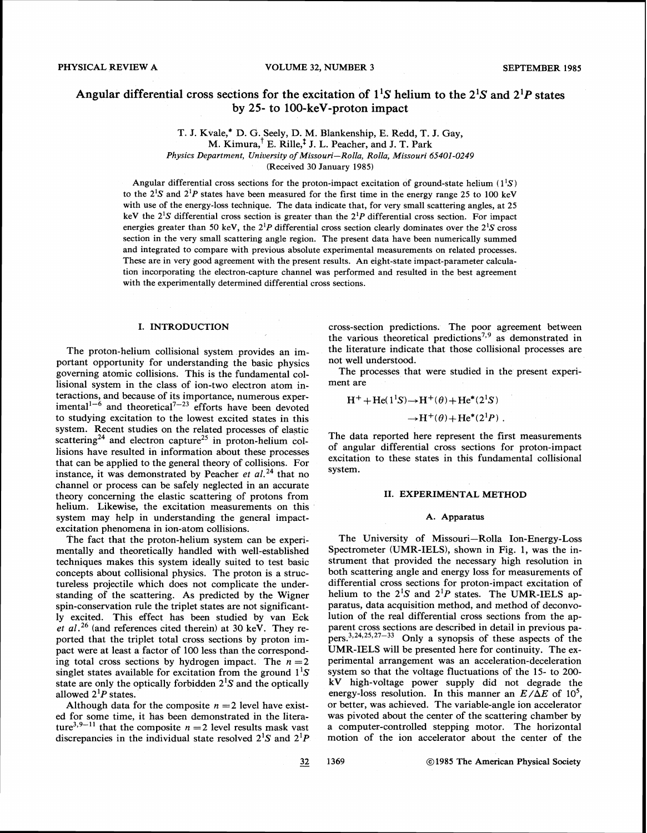### Angular differential cross sections for the excitation of  $1^1S$  helium to the  $2^1S$  and  $2^1P$  states **by 25- to 100-keV-proton impact**

T. J. Kvale,\* D. G. Seely, D. M. Blankenship, E. Redd, T. J. Gay,  $M.$  Kimura,  $^{\dagger}$  E. Rille,<sup>†</sup> J. L. Peacher, and J. T. Park

Physics Department, University of Missouri-Rolla, Rolla, Missouri *65401-0249* 

(Received 30 January 1985)

Angular differential cross sections for the proton-impact excitation of ground-state helium  $(1^1S)$ to the  $2^1S$  and  $2^1P$  states have been measured for the first time in the energy range 25 to 100 keV with use of the energy-loss technique. The data indicate that, for very small scattering angles, at 25 keV the  $2^{1}S$  differential cross section is greater than the  $2^{1}P$  differential cross section. For impact energies greater than 50 keV, the  $2^{1}P$  differential cross section clearly dominates over the  $2^{1}S$  cross section in the very small scattering angle region. The present data have been numerically summed and integrated to compare with previous absolute experimental measurements on related processes. These are in very good agreement with the present results. An eight-state impact-parameter calculation incorporating the electron-capture channel was performed and resulted in the best agreement with the experimentally determined differential cross sections.

#### I. INTRODUCTION

The proton-helium collisional system provides an important opportunity for understanding the basic physics governing atomic collisions. This is the fundamental collisional system in the class of ion-two electron atom interactions, and because of its importance, numerous experimental<sup>1-6</sup> and theoretical<sup> $1$ -23</sup> efforts have been devoted to studying excitation to the lowest excited states in this system. Recent studies on the related processes of elastic scattering<sup>24</sup> and electron capture<sup>25</sup> in proton-helium collisions have resulted in information about these processes that can be applied to the general theory of collisions. For instance, it was demonstrated by Peacher *et al.*<sup>24</sup> that no channel or process can be safely neglected in an accurate theory concerning the elastic scattering of protons from helium. Likewise, the excitation measurements on this system may help in understanding the general impactexcitation phenomena in ion-atom collisions.

The fact that the proton-helium system can be experimentally and theoretically handled with well-established techniques makes this system ideally suited to test basic concepts about collisional physics. The proton is a structureless projectile which does not complicate the understanding of the scattering. As predicted by the Wigner spin-conservation rule the triplet states are not significantly excited. This effect has been studied by van Eck *et al.*<sup>26</sup> (and references cited therein) at 30 keV. They reported that the triplet total cross sections by proton impact were at least a factor of 100 less than the corresponding total cross sections by hydrogen impact. The  $n = 2$ singlet states available for excitation from the ground  $1^1S$ state are only the optically forbidden  $2^{1}S$  and the optically allowed  $2^{1}P$  states.

Although data for the composite  $n = 2$  level have existed for some time, it has been demonstrated in the literature<sup>3,9-11</sup> that the composite  $n = 2$  level results mask vast discrepancies in the individual state resolved  $2^1S$  and  $2^1P$ 

cross-section predictions. The poor agreement between the various theoretical predictions<sup>7,9</sup> as demonstrated in the literature indicate that those collisional processes are not well understood.

The processes that were studied in the present experiment are

$$
H^+ + He(1^1S) \rightarrow H^+(\theta) + He^*(2^1S)
$$

 $\rightarrow$ H<sup>+</sup>( $\theta$ )+He<sup>\*</sup>(2<sup>1</sup>P).

The data reported here represent the first measurements of angular differential cross sections for proton-impact excitation to these states in this fundamental collisional system.

#### 11. EXPERIMENTAL METHOD

#### A. Apparatus

The University of Missouri-Rolla Ion-Energy-Loss Spectrometer (UMR-IELS), shown in Fig. 1, was the instrument that provided the necessary high resolution in both scattering angle and energy loss for measurements of differential cross sections for proton-impact excitation of helium to the  $2^{1}S$  and  $2^{1}P$  states. The UMR-IELS apparatus, data acquisition method, and method of deconvolution of the real differential cross sections from the apparent cross sections are described in detail in previous papers,  $3,24,25,27-33$  Only a synopsis of these aspects of the UMR-IELS will be presented here for continuity. The experimental arrangement was an acceleration-deceleration system so that the voltage fluctuations of the 15- to 200 kV high-voltage power supply did not degrade the energy-loss resolution. In this manner an  $E/\Delta E$  of 10<sup>5</sup>, or better, was achieved. The variable-angle ion accelerator was pivoted about the center of the scattering chamber by a computer-controlled stepping motor. The horizontal motion of the ion accelerator about the center of the

 $32$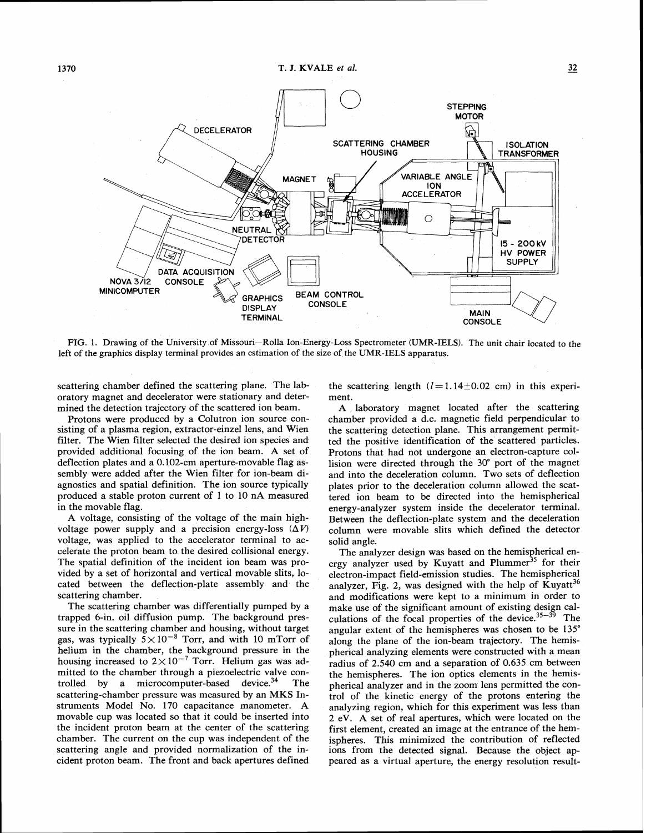

FIG. 1. Drawing of the University of Missouri-Rolla Ion-Energy-Loss Spectrometer (UMR-IELS). The unit chair located to the left of the graphics display terminal provides an estimation of the size of the UMR-IELS apparatus.

scattering chamber defined the scattering plane. The laboratory magnet and decelerator were stationary and deter-

mined the detection trajectory of the scattered ion beam.<br>Protons were produced by a Colutron ion source consisting of a plasma region, extractor-einzel lens, and Wien filter. The Wien filter selected the desired ion species and provided additional focusing of the ion beam. A set of deflection plates and a 0.102-cm aperture-movable flag assembly were added after the Wien filter for ion-beam diagnostics and spatial definition. The ion source typically produced a stable proton current of 1 to 10 nA measured in the movable flag.

A voltage, consisting of the voltage of the main highvoltage power supply and a precision energy-loss  $(\Delta V)$ voltage, was applied to the accelerator terminal to accelerate the proton beam to the desired collisional energy. The spatial definition of the incident ion beam was provided by a set of horizontal and vertical movable slits, located between the deflection-plate assembly and the scattering chamber.

The scattering chamber was differentially pumped by a trapped 6-in. oil diffusion pump. The background pressure in the scattering chamber and housing, without target gas, was typically  $5 \times 10^{-8}$  Torr, and with 10 mTorr of helium in the chamber, the background pressure in the housing increased to  $2\times10^{-7}$  Torr. Helium gas was admitted to the chamber through a piezoelectric valve controlled by a microcomputer-based device. $34$  The scattering-chamber pressure was measured by an MKS Instruments Model No. 170 capacitance manometer. A movable cup was located so that it could be inserted into the incident proton beam at the center of the scattering chamber. The current on the cup was independent of the scattering angle and provided normalization of the incident proton beam. The front and back apertures defined the scattering length  $(l=1.14\pm0.02$  cm) in this experiment.

**A** laboratory magnet located after the scattering chamber provided a d.c. magnetic field perpendicular to the scattering detection plane. This arrangement permitted the positive identification of the scattered particles. Protons that had not undergone an electron-capture collision were directed through the 30" port of the magnet and into the deceleration column. Two sets of deflection plates prior to the deceleration column allowed the scattered ion beam to be directed into the hemispherical energy-analyzer system inside the decelerator terminal. Between the deflection-plate system and the deceleration column were movable slits which defined the detector solid angle.

The analyzer design was based on the hemispherical energy analyzer used by Kuyatt and Plummer<sup>35</sup> for their electron-impact field-emission studies. The hemispherical analyzer, Fig. 2, was designed with the help of Kuyatt<sup>36</sup> and modifications were kept to a minimum in order to make use of the significant amount of existing design calculations of the focal properties of the device.<sup>35-39</sup> The angular extent of the hemispheres was chosen to be 135" along the plane of the ion-beam trajectory. The hemispherical analyzing elements were constructed with a mean radius of 2.540 cm and a separation of 0.635 cm between the hemispheres. The ion optics elements in the hemispherical analyzer and in the zoom lens permitted the control of the kinetic energy of the protons entering the analyzing region, which for this experiment was less than 2 eV. **A** set of real apertures, which were located on the first element, created an image at the entrance of the hemispheres. This minimized the contribution of reflected ions from the detected signal. Because the object appeared as a virtual aperture, the energy resolution result-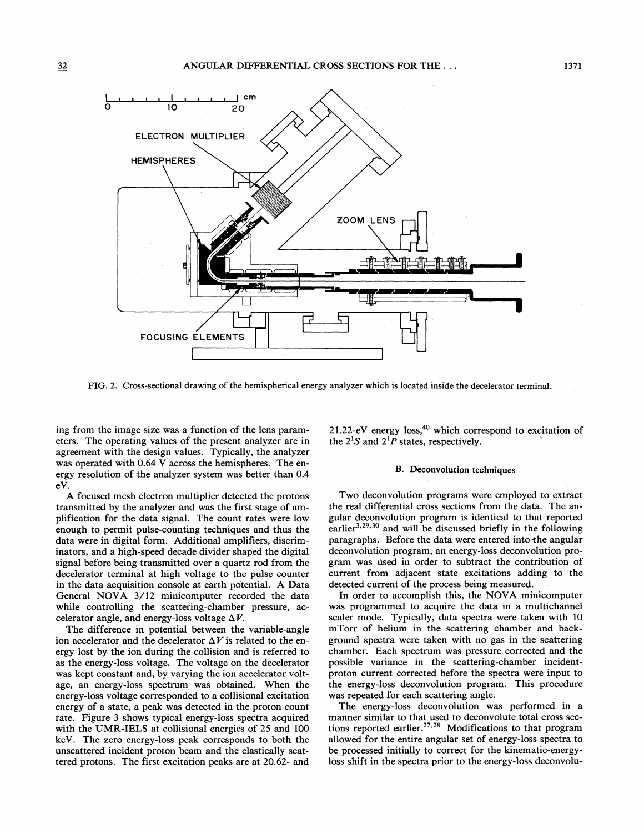

FIG. 2. Cross-sectional drawing of the hemispherical energy analyzer which is located inside the decelerator terminal.

ing from the image size was a function of the lens parameters. The operating values of the present analyzer are in agreement with the design values. Typically, the analyzer was operated with 0.64 V across the hemispheres. The energy resolution of the analyzer system was better than 0.4 eV.

**A** focused mesh electron multiplier detected the protons transmitted by the analyzer and was the first stage of amplification for the data signal. The count rates were low enough to permit pulse-counting techniques and thus the data were in digital form. Additional amplifiers, discriminators, and a high-speed decade divider shaped the digital signal before being transmitted over a quartz rod from the decelerator terminal at high voltage to the pulse counter in the data acquisition console at earth potential. **A** Data General NOVA 3/12 minicomputer recorded the data while controlling the scattering-chamber pressure, accelerator angle, and energy-loss voltage *AV.* 

The difference in potential between the variable-angle ion accelerator and the decelerator  $\Delta V$  is related to the energy lost by the ion during the collision and is referred to as the energy-loss voltage. The voltage on the decelerator was kept constant and, by varying the ion accelerator voltage, an energy-loss spectrum was obtained. When the energy-loss voltage corresponded to a collisional excitation energy of a state, a peak was detected in the proton count rate. Figure 3 shows typical energy-loss spectra acquired with the UMR-IELS at collisional energies of 25 and 100 keV. The zero energy-loss peak corresponds to both the unscattered incident proton beam and the elastically scattered protons. The first excitation peaks are at 20.62- and 21.22-eV energy loss, $40$  which correspond to excitation of the  $2^{1}S$  and  $2^{1}P$  states, respectively.

#### B. Deconvolution techniques

Two deconvolution programs were employed to extract the real differential cross sections from the data. The angular deconvolution program is identical to that reported earlier $^{3,29,30}$  and will be discussed briefly in the following paragraphs. Before the data were entered into the angular deconvolution program, an energy-loss deconvolution program was used in order to subtract the contribution of current from adjacent state excitations adding to the detected current of the process being measured.

In order to accomplish this, the NOVA minicomputer was programmed to acquire the data in a multichannel scaler mode. Typically, data spectra were taken with 10 mTorr of helium in the scattering chamber and background spectra were taken with no gas in the scattering chamber. Each spectrum was pressure corrected and the possible variance in the scattering-chamber incidentproton current corrected before the spectra were input to the energy-loss deconvolution program. This procedure was repeated for each scattering angle.

The energy-loss deconvolution was performed in a manner similar to that used to deconvolute total cross sections reported earlier.<sup>27,28</sup> Modifications to that program allowed for the entire angular set of energy-loss spectra to be processed initially to correct for the kinematic-energyloss shift in the spectra prior to the energy-loss deconvolu-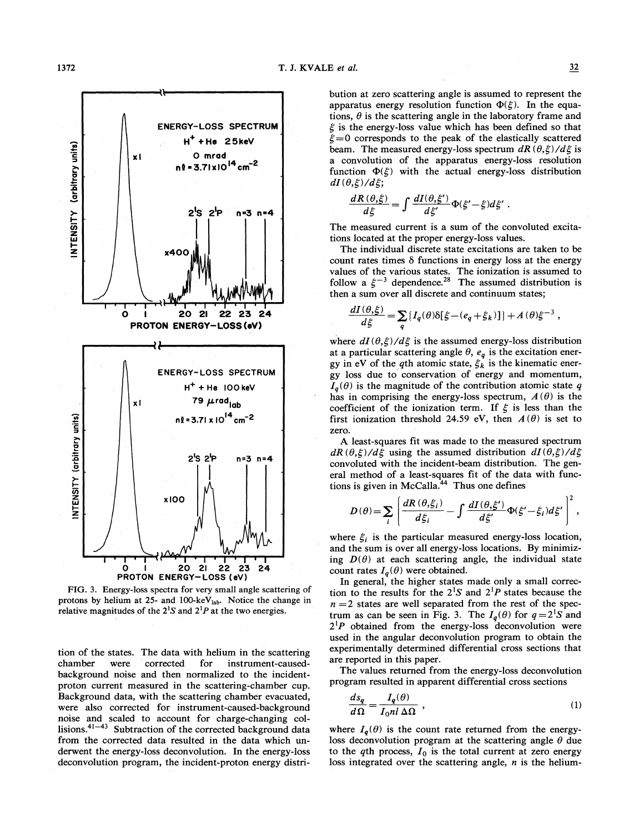

FIG. **3.** Energy-loss spectra for very small angle scattering of protons by helium at 25- and 100-keV<sub>lab</sub>. Notice the change in relative magnitudes of the  $2^1S$  and  $2^1P$  at the two energies.

tion of the states. The data with helium in the scattering<br>chamber were corrected for instrument-causedwere corrected for instrument-causedbackground noise and then normalized to the incidentproton current measured in the scattering-chamber cup. Background data, with the scattering chamber evacuated, were also corrected for instrument-caused-background noise and scaled to account for charge-changing collisions. $41-43$  Subtraction of the corrected background data from the corrected data resulted in the data which underwent the energy-loss deconvolution. In the energy-loss deconvolution program, the incident-proton energy distribution at zero scattering angle is assumed to represent the apparatus energy resolution function  $\Phi(\xi)$ . In the equations,  $\theta$  is the scattering angle in the laboratory frame and  $\xi$  is the energy-loss value which has been defined so that  $\xi=0$  corresponds to the peak of the elastically scattered beam. The measured energy-loss spectrum  $dR(\theta,\xi)/d\xi$  is a convolution of the apparatus energy-loss resolution function  $\Phi(\xi)$  with the actual energy-loss distribution  $dI(\theta,\xi)/d\xi;$ 

$$
\frac{dR(\theta,\xi)}{d\xi} = \int \frac{dI(\theta,\xi')}{d\xi'} \Phi(\xi'-\xi) d\xi'
$$

The measured current is a sum of the convoluted excitations located at the proper energy-loss values.

The individual discrete state excitations are taken to be count rates times  $\delta$  functions in energy loss at the energy values of the various states. The ionization is assumed to follow a  $\xi^{-3}$  dependence.<sup>28</sup> The assumed distribution is then a sum over all discrete and continuum states;

$$
\frac{dI(\theta,\xi)}{d\xi} = \sum_{q} \{I_q(\theta)\delta[\xi - (e_q + \xi_k)]\} + A(\theta)\xi^{-3},
$$

where  $dI(\theta,\xi)/d\xi$  is the assumed energy-loss distribution at a particular scattering angle  $\theta$ ,  $e_q$  is the excitation energy in eV of the *q*th atomic state,  $\xi_k$  is the kinematic energy loss due to conservation of energy and momentum,  $I_q(\theta)$  is the magnitude of the contribution atomic state q has in comprising the energy-loss spectrum,  $A(\theta)$  is the coefficient of the ionization term. If  $\xi$  is less than the first ionization threshold 24.59 eV, then  $A(\theta)$  is set to zero.

**A** least-squares fit was made to the measured spectrum  $dR(\theta,\xi)/d\xi$  using the assumed distribution  $dI(\theta,\xi)/d\xi$ convoluted with the incident-beam distribution. The general method of a least-squares fit of the data with functions is given in  $~\text{McCalla}^{44}$  Thus one defines

$$
D(\theta) = \sum_i \left[ \frac{dR(\theta, \xi_i)}{d\xi_i} - \int \frac{dI(\theta, \xi')}{d\xi'} \Phi(\xi' - \xi_i) d\xi' \right]^2,
$$

where  $\xi_i$  is the particular measured energy-loss location, and the sum is over all energy-loss locations. By minimizing  $D(\theta)$  at each scattering angle, the individual state count rates  $I_q(\theta)$  were obtained.

In general, the higher states made only a small correction to the results for the  $2^{1}S$  and  $2^{1}P$  states because the  $n = 2$  states are well separated from the rest of the spectrum as can be seen in Fig. 3. The  $I_q(\theta)$  for  $q=2^1S$  and  $2^1P$  obtained from the energy-loss deconvolution were used in the angular deconvolution program to obtain the experimentally determined differential cross sections that are reported in this paper.

The values returned from the energy-loss deconvolution

program resulted in apparent differential cross sections  
\n
$$
\frac{ds_q}{d\Omega} = \frac{I_q(\theta)}{I_0 n I \Delta \Omega},
$$
\n(1)

where  $I_q(\theta)$  is the count rate returned from the energyloss deconvolution program at the scattering angle  $\theta$  due to the  $q$ th process,  $I_0$  is the total current at zero energy loss integrated over the scattering angle, *n* is the helium-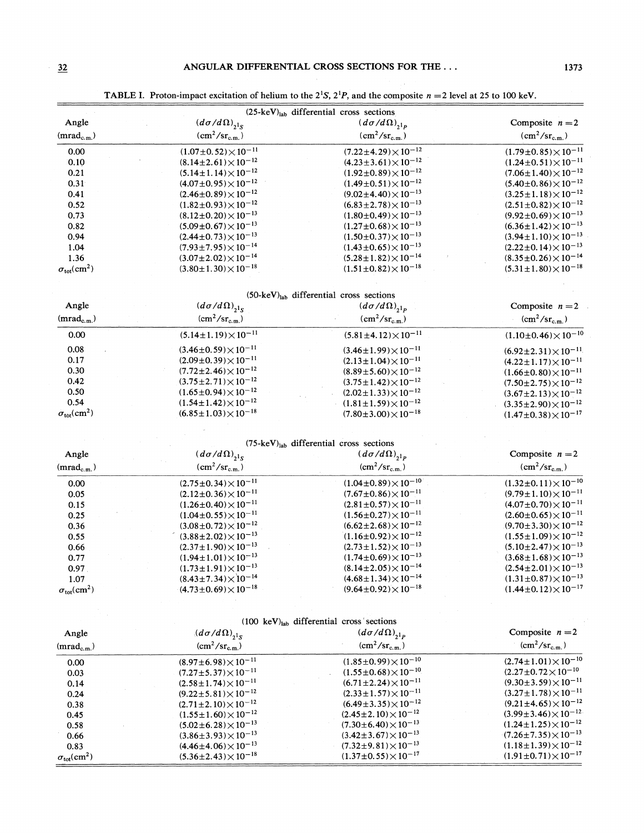TABLE I. Proton-impact excitation of helium to the  $2^1S$ ,  $2^1P$ , and the composite  $n = 2$  level at 25 to 100 keV.

| $(25 \text{-} \text{keV})_{\text{lab}}$ differential cross sections |                                   |                                   |                                   |  |
|---------------------------------------------------------------------|-----------------------------------|-----------------------------------|-----------------------------------|--|
| Angle                                                               | $(d\sigma/d\Omega)_{,1_S}$        | $(d\sigma/d\Omega)_{,1_p}$        | Composite $n=2$                   |  |
| $(mrad_{c.m.})$                                                     | $(cm^2/sr_{c.m.})$                | $(cm^2/sr_{c.m.})$                | $(cm^2/sr_{c.m.})$                |  |
| 0.00                                                                | $(1.07\pm0.52)\times10^{-11}$     | $(7.22 \pm 4.29) \times 10^{-12}$ | $(1.79\pm0.85)\times10^{-11}$     |  |
| 0.10                                                                | $(8.14 \pm 2.61) \times 10^{-12}$ | $(4.23 \pm 3.61) \times 10^{-12}$ | $(1.24\pm0.51)\times10^{-11}$     |  |
| 0.21                                                                | $(5.14 \pm 1.14) \times 10^{-12}$ | $(1.92 \pm 0.89) \times 10^{-12}$ | $(7.06 \pm 1.40) \times 10^{-12}$ |  |
| 0.31                                                                | $(4.07\pm0.95)\times10^{-12}$     | $(1.49\pm0.51)\times10^{-12}$     | $(5.40\pm0.86)\times10^{-12}$     |  |
| 0.41                                                                | $(2.46\pm0.89)\times10^{-12}$     | $(9.02 \pm 4.40) \times 10^{-13}$ | $(3.25 \pm 1.18) \times 10^{-12}$ |  |
| 0.52                                                                | $(1.82 \pm 0.93) \times 10^{-12}$ | $(6.83 \pm 2.78) \times 10^{-13}$ | $(2.51\pm0.82)\times10^{-12}$     |  |
| 0.73                                                                | $(8.12\pm0.20)\times10^{-13}$     | $(1.80\pm0.49)\times10^{-13}$     | $(9.92 \pm 0.69) \times 10^{-13}$ |  |
| 0.82                                                                | $(5.09\pm0.67)\times10^{-13}$     | $(1.27 \pm 0.68) \times 10^{-13}$ | $(6.36\pm1.42)\times10^{-13}$     |  |
| 0.94                                                                | $(2.44\pm0.73)\times10^{-13}$     | $(1.50\pm0.37)\times10^{-13}$     | $(3.94 \pm 1.10) \times 10^{-13}$ |  |
| 1.04                                                                | $(7.93 \pm 7.95) \times 10^{-14}$ | $(1.43\pm0.65)\times10^{-13}$     | $(2.22 \pm 0.14) \times 10^{-13}$ |  |
| 1.36                                                                | $(3.07 \pm 2.02) \times 10^{-14}$ | $(5.28 \pm 1.82) \times 10^{-14}$ | $(8.35\pm0.26)\times10^{-14}$     |  |
| $\sigma_{\rm tot}$ cm <sup>2</sup> )                                | $(3.80 \pm 1.30) \times 10^{-18}$ | $(1.51\pm0.82)\times10^{-18}$     | $(5.31 \pm 1.80) \times 10^{-18}$ |  |

|  | $(50 \text{-} \text{keV})_{\text{lab}}$ differential cross sections |  |  |
|--|---------------------------------------------------------------------|--|--|
|--|---------------------------------------------------------------------|--|--|

| Angle                                | $(d\sigma/d\Omega)_{2^1s}$        | $(d\sigma/d\Omega)_{,1_p}$        | Composite $n=2$                   |
|--------------------------------------|-----------------------------------|-----------------------------------|-----------------------------------|
| $(mrad_{c.m.})$                      | $\rm (cm^2/sr_{\rm c.m.})$        | $(cm^2/sr_{c.m.})$                | $\rm (cm^2/sr_{c.m.})$            |
| 0.00                                 | $(5.14 \pm 1.19) \times 10^{-11}$ | $(5.81 \pm 4.12) \times 10^{-11}$ | $(1.10\pm0.46)\times10^{-10}$     |
| 0.08                                 | $(3.46\pm0.59)\times10^{-11}$     | $(3.46\pm1.99)\times10^{-11}$     | $(6.92 \pm 2.31) \times 10^{-11}$ |
| 0.17                                 | $(2.09\pm0.39)\times10^{-11}$     | $(2.13 \pm 1.04) \times 10^{-11}$ | $(4.22 \pm 1.17) \times 10^{-11}$ |
| 0.30                                 | $(7.72 \pm 2.46) \times 10^{-12}$ | $(8.89 \pm 5.60) \times 10^{-12}$ | $(1.66\pm0.80)\times10^{-11}$     |
| 0.42                                 | $(3.75 \pm 2.71) \times 10^{-12}$ | $(3.75 \pm 1.42) \times 10^{-12}$ | $(7.50\pm2.75)\times10^{-12}$     |
| 0.50                                 | $(1.65\pm0.94)\times10^{-12}$     | $(2.02 \pm 1.33) \times 10^{-12}$ | $(3.67 \pm 2.13) \times 10^{-12}$ |
| 0.54                                 | $(1.54\pm1.42)\times10^{-12}$     | $(1.81 \pm 1.59) \times 10^{-12}$ | $(3.35 \pm 2.90) \times 10^{-12}$ |
| $\sigma_{\rm tot}$ cm <sup>2</sup> ) | $(6.85 \pm 1.03) \times 10^{-18}$ | $(7.80 \pm 3.00) \times 10^{-18}$ | $(1.47\pm0.38)\times10^{-17}$     |

|  | $(75 \text{-} \text{keV})_{\text{lab}}$ differential cross sections |  |  |
|--|---------------------------------------------------------------------|--|--|
|--|---------------------------------------------------------------------|--|--|

 $\label{eq:2} \frac{1}{\sqrt{2}}\left(\frac{1}{\sqrt{2}}\right)^{2} \frac{1}{\sqrt{2}}\frac{1}{\sqrt{2}}\,.$ 

| Angle                                 | $(d\sigma/d\Omega)_{2^1s}$        | $(d\sigma/d\Omega)_{,1_p}$        | Composite $n=2$                   |
|---------------------------------------|-----------------------------------|-----------------------------------|-----------------------------------|
| $(mrad_{c.m.})$                       | $\rm (cm^2/sr_{c.m.})$            | $\rm (cm^2/sr_{c.m.})$            | $(cm^2/sr_{c.m.})$                |
| 0.00                                  | $(2.75\pm0.34)\times10^{-11}$     | $(1.04\pm0.89)\times10^{-10}$     | $(1.32 \pm 0.11) \times 10^{-10}$ |
| 0.05                                  | $(2.12\pm0.36)\times10^{-11}$     | $(7.67 \pm 0.86) \times 10^{-11}$ | $(9.79 \pm 1.10) \times 10^{-11}$ |
| 0.15                                  | $(1.26\pm0.40)\times10^{-11}$     | $(2.81\pm0.57)\times10^{-11}$     | $(4.07 \pm 0.70) \times 10^{-11}$ |
| 0.25                                  | $(1.04\pm0.55)\times10^{-11}$     | $(1.56\pm0.27)\times10^{-11}$     | $(2.60\pm0.65)\times10^{-11}$     |
| 0.36                                  | $(3.08\pm0.72)\times10^{-12}$     | $(6.62 \pm 2.68) \times 10^{-12}$ | $(9.70 \pm 3.30) \times 10^{-12}$ |
| 0.55                                  | $(3.88 \pm 2.02) \times 10^{-13}$ | $(1.16\pm0.92)\times10^{-12}$     | $(1.55 \pm 1.09) \times 10^{-12}$ |
| 0.66                                  | $(2.37 \pm 1.90) \times 10^{-13}$ | $(2.73\pm1.52)\times10^{-13}$     | $(5.10\pm2.47)\times10^{-13}$     |
| 0.77                                  | $(1.94 \pm 1.01) \times 10^{-13}$ | $(1.74\pm0.69)\times10^{-13}$     | $(3.68 \pm 1.68) \times 10^{-13}$ |
| 0.97                                  | $(1.73 \pm 1.91) \times 10^{-13}$ | $(8.14 \pm 2.05) \times 10^{-14}$ | $(2.54 \pm 2.01) \times 10^{-13}$ |
| 1.07                                  | $(8.43 \pm 7.34) \times 10^{-14}$ | $(4.68 \pm 1.34) \times 10^{-14}$ | $(1.31 \pm 0.87) \times 10^{-13}$ |
| $\sigma_{\rm tot}$ (cm <sup>2</sup> ) | $(4.73\pm0.69)\times10^{-18}$     | $(9.64\pm0.92)\times10^{-18}$     | $(1.44\pm0.12)\times10^{-17}$     |

|                                       | $(100 \text{ keV})_{\text{lab}}$ differential cross sections |                                   |                                   |
|---------------------------------------|--------------------------------------------------------------|-----------------------------------|-----------------------------------|
| Angle                                 | $(d\sigma/d\Omega)_{,1_S}$                                   | $(d\sigma/d\Omega)_{,1_p}$        | Composite $n=2$                   |
| $(mrad_{c.m.})$                       | $\rm (cm^2/sr_{c.m.})$                                       | $(cm^2/sr_{c.m.})$                | $\rm (cm^2/sr_{c.m.})$            |
| 0.00                                  | $(8.97 \pm 6.98) \times 10^{-11}$                            | $(1.85 \pm 0.99) \times 10^{-10}$ | $(2.74 \pm 1.01) \times 10^{-10}$ |
| 0.03                                  | $(7.27 \pm 5.37) \times 10^{-11}$                            | $(1.55\pm0.68)\times10^{-10}$     | $(2.27 \pm 0.72 \times 10^{-10})$ |
| 0.14                                  | $(2.58 \pm 1.74) \times 10^{-11}$                            | $(6.71 \pm 2.24) \times 10^{-11}$ | $(9.30 \pm 3.59) \times 10^{-11}$ |
| 0.24                                  | $(9.22 \pm 5.81) \times 10^{-12}$                            | $(2.33 \pm 1.57) \times 10^{-11}$ | $(3.27 \pm 1.78) \times 10^{-11}$ |
| 0.38                                  | $(2.71 \pm 2.10) \times 10^{-12}$                            | $(6.49 \pm 3.35) \times 10^{-12}$ | $(9.21 \pm 4.65) \times 10^{-12}$ |
| 0.45                                  | $(1.55 \pm 1.60) \times 10^{-12}$                            | $(2.45\pm2.10)\times10^{-12}$     | $(3.99 \pm 3.46) \times 10^{-12}$ |
| 0.58                                  | $(5.02 \pm 6.28) \times 10^{-13}$                            | $(7.30 \pm 6.40) \times 10^{-13}$ | $(1.24 \pm 1.25) \times 10^{-12}$ |
| 0.66                                  | $(3.86 \pm 3.93) \times 10^{-13}$                            | $(3.42 \pm 3.67) \times 10^{-13}$ | $(7.26 \pm 7.35) \times 10^{-13}$ |
| 0.83                                  | $(4.46 \pm 4.06) \times 10^{-13}$                            | $(7.32 \pm 9.81) \times 10^{-13}$ | $(1.18 \pm 1.39) \times 10^{-12}$ |
| $\sigma_{\rm tot}$ (cm <sup>2</sup> ) | $(5.36 \pm 2.43) \times 10^{-18}$                            | $(1.37\pm0.55)\times10^{-17}$     | $(1.91 \pm 0.71) \times 10^{-17}$ |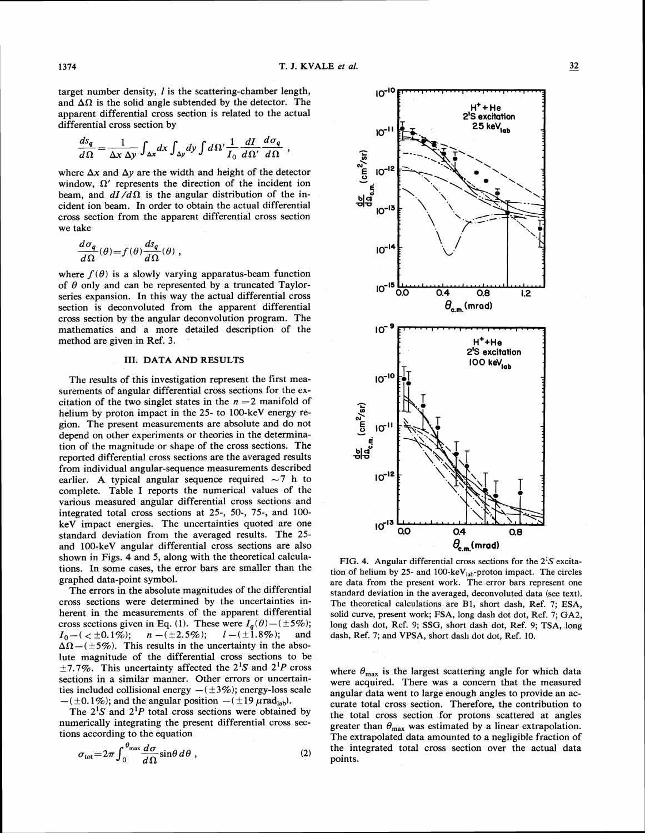$10^{-10}$ 

 $10^{-1}$ 

target number density,  $l$  is the scattering-chamber length, and  $\Delta\Omega$  is the solid angle subtended by the detector. The apparent differential cross section is related to the actual differential cross section by

$$
\frac{ds_q}{d\Omega} = \frac{1}{\Delta x \, \Delta y} \int_{\Delta x} dx \int_{\Delta y} dy \int d\Omega' \frac{1}{I_0} \frac{dI}{d\Omega'} \frac{d\sigma_q}{d\Omega}
$$

where  $\Delta x$  and  $\Delta y$  are the width and height of the detector window,  $\Omega'$  represents the direction of the incident ion beam, and  $dI/d\Omega$  is the angular distribution of the incident ion beam. In order to obtain the actual differential cross section from the apparent differential cross section we take

$$
\frac{d\sigma_q}{d\Omega}(\theta) = f(\theta) \frac{ds_q}{d\Omega}(\theta) ,
$$

where  $f(\theta)$  is a slowly varying apparatus-beam function of  $\theta$  only and can be represented by a truncated Taylorseries expansion. In this way the actual differential cross section is deconvoluted from the apparent differential cross section by the angular deconvolution program. The mathematics and a more detailed description of the method are given in Ref. 3.

#### 111. DATA AND RESULTS

The results of this investigation represent the first measurements of angular differential cross sections for the excitation of the two singlet states in the  $n = 2$  manifold of helium by proton impact in the 25- to 100-keV energy region. The present measurements are absolute and do not depend on other experiments or theories in the determination of the magnitude or shape of the cross sections. The reported differential cross sections are the averaged results from individual angular-sequence measurements described earlier. A typical angular sequence required  $\sim$  7 h to complete. Table I reports the numerical values of the various measured angular differential cross sections and integrated total cross sections at 25-, 50-, 75-, and 100 keV impact energies. The uncertainties quoted are one standard deviation from the averaged results. The 25 and 100-keV angular differential cross sections are also shown in Figs. 4 and 5, along with the theoretical calculations. In some cases, the error bars are smaller than the graphed data-point symbol.

The errors in the absolute magnitudes of the differential cross sections were determined by the uncertainties inherent in the measurements of the apparent differential cross sections given in Eq. (1). These were  $I_q(\theta) - (\pm 5\%)$ ;<br>  $I_0 - (\angle \pm 0.1\%)$ ;  $n - (\pm 2.5\%)$ ;  $l - (\pm 1.8\%)$ ; and  $n - (\pm 2.5\%)$ ;  $l - (\pm 1.8\%)$ ;  $\Delta\Omega$  – ( $\pm$ 5%). This results in the uncertainty in the absolute magnitude of the differential cross sections to be  $\pm$ 7.7%. This uncertainty affected the 2<sup>1</sup>S and 2<sup>1</sup>P cross sections in a similar manner. Other errors or uncertainsections in a similar manner. Other errors or uncertain-<br>ties included collisional energy  $-(\pm 3\%)$ ; energy-loss scale ties included collisional energy  $-$  ( $\pm 3\%$ ); energy-loss sc<br>- ( $\pm 0.1\%$ ); and the angular position  $-$  ( $\pm 19 \mu$ rad<sub>lab</sub>).

The  $2^1S$  and  $2^1P$  total cross sections were obtained by numerically integrating the present differential cross sections according to the equation

$$
\sigma_{\rm tot} = 2\pi \int_0^{\theta_{\rm max}} \frac{d\sigma}{d\Omega} \sin\theta \, d\theta \;, \tag{2}
$$



FIG. 4. Angular differential cross sections for the *2's* excitation of helium by 25- and 100-keV $_{lab}$ -proton impact. The circles are data from the present work. The error bars represent one standard deviation in the averaged, deconvoluted data (see text). The theoretical calculations are **B1,** short dash, Ref. 7; ESA, solid curve, present work; FSA, long dash dot dot, Ref. 7; GA2, long dash dot, Ref. 9; SSG, short dash dot, Ref. 9; TSA, long dash, Ref. **7;** and VPSA, short dash dot dot, Ref. 10.

where  $\theta_{\text{max}}$  is the largest scattering angle for which data were acquired. There was a concern that the measured angular data went to large enough angles to provide an accurate total cross section. Therefore, the contribution to the total cross section for protons scattered at angles greater than  $\theta_{\text{max}}$  was estimated by a linear extrapolation. The extrapolated data amounted to a negligible fraction of the integrated total cross section over the actual data points.

**H'+ He <sup>J</sup>**

**2's excitation**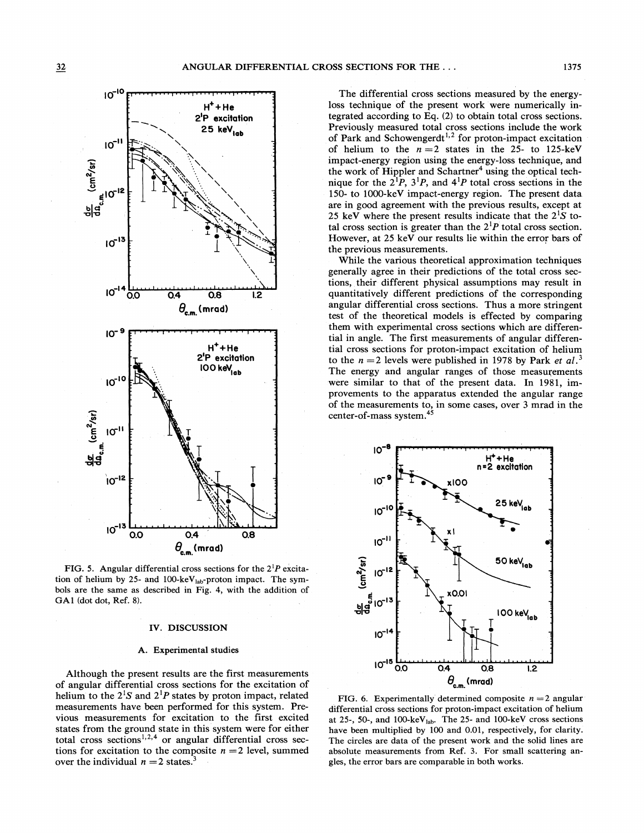

FIG. 5. Angular differential cross sections for the  $2^{1}P$  excitation of helium by 25- and 100-keV $_{lab}$ -proton impact. The symbols are the same as described in Fig. 4, with the addition of GAl (dot dot, Ref. 8).

#### IV. DISCUSSION

#### A. Experimental studies

Although the present results are the first measurements of angular differential cross sections for the excitation of helium to the  $2^1S$  and  $2^1P$  states by proton impact, related measurements have been performed for this system. Previous measurements for excitation to the first excited states from the ground state in this system were for either total cross sections<sup>1,2,4</sup> or angular differential cross sections for excitation to the composite  $n = 2$  level, summed over the individual  $n = 2$  states.<sup>3</sup>

The differential cross sections measured by the energyloss technique of the present work were numerically integrated according to Eq. (2) to obtain total cross sections. Previously measured total cross sections include the work of Park and Schowengerdt<sup>1,2</sup> for proton-impact excitation of helium to the  $n = 2$  states in the 25- to 125-keV impact-energy region using the energy-loss technique, and the work of Hippler and Schartner<sup>4</sup> using the optical technique for the  $2^{1}P$ ,  $3^{1}P$ , and  $4^{1}P$  total cross sections in the 150- to 1000-keV impact-energy region. The present data are in good agreement with the previous results, except at 25 keV where the present results indicate that the  $2^{1}S$  total cross section is greater than the  $2^{1}P$  total cross section. However, at 25 keV our results lie within the error bars of the previous measurements.

While the various theoretical approximation techniques generally agree in their predictions of the total cross sections, their different physical assumptions may result in quantitatively different predictions of the corresponding angular differential cross sections. Thus a more stringent test of the theoretical models is effected by comparing them with experimental cross sections which are differential in angle. The first measurements of angular differential cross sections for proton-impact excitation of helium to the  $n = 2$  levels were published in 1978 by Park *et al.*<sup>3</sup> The energy and angular ranges of those measurements were similar to that of the present data. In 1981, improvements to the apparatus extended the angular range of the measurements to, in some cases, over 3 mrad in the center-of-mass system.<sup>45</sup>



FIG. 6. Experimentally determined composite  $n = 2$  angular differential cross sections for proton-impact excitation of helium at 25-, 50-, and 100-keV<sub>lab</sub>. The 25- and 100-keV cross sections have been multiplied by 100 and 0.01, respectively, for clarity. The circles are data of the present work and the solid lines are absolute measurements from Ref. **3.** For small scattering angles, the error bars are comparable in both works.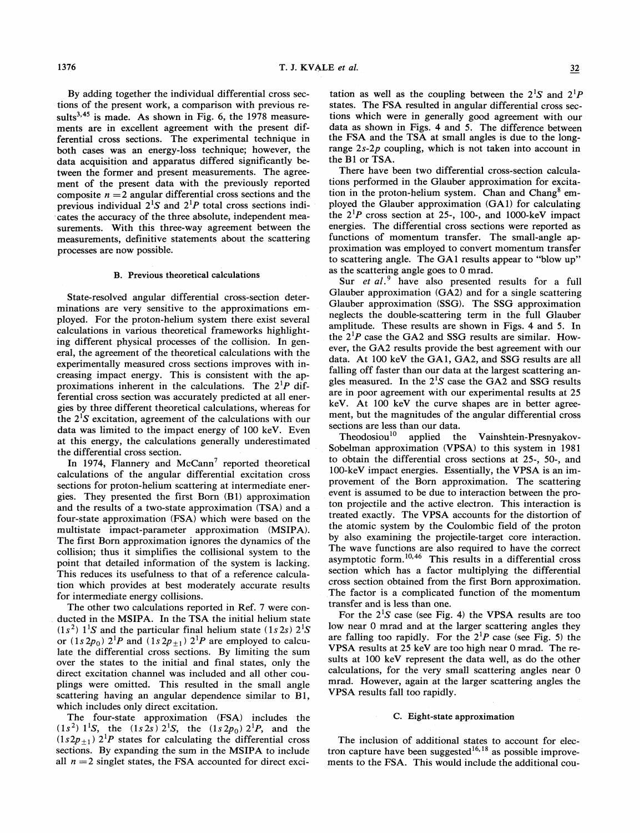By adding together the individual differential cross sections of the present work, a comparison with previous results<sup>3,45</sup> is made. As shown in Fig. 6, the  $1978$  measurements are in excellent agreement with the present differential cross sections. The experimental technique in both cases was an energy-loss technique; however, the data acquisition and apparatus differed significantly between the former and present measurements. The agreement of the present data with the previously reported composite  $n = 2$  angular differential cross sections and the previous individual  $2^{1}S$  and  $2^{1}P$  total cross sections indicates the accuracy of the three absolute, independent measurements. With this three-way agreement between the measurements, definitive statements about the scattering processes are now possible.

#### B. Previous theoretical calculations

State-resolved angular differential cross-section determinations are very sensitive to the approximations employed. For the proton-helium system there exist several calculations in various theoretical frameworks highlighting different physical processes of the collision. In general, the agreement of the theoretical calculations with the experimentally measured cross sections improves with increasing impact energy. This is consistent with the approximations inherent in the calculations. The  $2^1P$  differential cross section was accurately predicted at all energies by three different theoretical calculations, whereas for the  $2^1S$  excitation, agreement of the calculations with our data was limited to the impact energy of 100 keV. Even at this energy, the calculations generally underestimated the differential cross section.

In 1974, Flannery and McCann<sup>7</sup> reported theoretical calculations of the angular differential excitation cross sections for proton-helium scattering at intermediate energies. They presented the first Born (B1) approximation and the results of a two-state approximation (TSA) and a four-state approximation (FSA) which were based on the multistate impact-parameter approximation (MSIPA). The first Born approximation ignores the dynamics of the collision; thus it simplifies the collisional system to the point that detailed information of the system is lacking. This reduces its usefulness to that of a reference calculation which provides at best moderately accurate results for intermediate energy collisions.

The other two calculations reported in Ref. 7 were conducted in the MSIPA. In the TSA the initial helium state  $(1s<sup>2</sup>)$  1<sup>1</sup>S and the particular final helium state (1s 2s) 2<sup>1</sup>S or  $(1s2p_0)$   $2^1P$  and  $(1s2p_{+1})$   $2^1P$  are employed to calculate the differential cross sections. By limiting the sum over the states to the initial and final states, only the direct excitation channel was included and all other couplings were omitted. This resulted in the small angle scattering having an angular dependence similar to B1, which includes only direct excitation.

The four-state approximation (FSA) includes the  $(1s<sup>2</sup>)$  1<sup>1</sup>S, the  $(1s2s)$  2<sup>1</sup>S, the  $(1s2p_0)$  2<sup>1</sup>P, and the  $(1s2p_{+1})$  2<sup>1</sup>P states for calculating the differential cross sections. By expanding the sum in the MSIPA to include all  $n = 2$  singlet states, the FSA accounted for direct exci-

tation as well as the coupling between the  $2^1S$  and  $2^1P$ states. The FSA resulted in angular differential cross sections which were in generally good agreement with our data as shown in Figs. 4 and 5. The difference between the FSA and the TSA at small angles is due to the longrange  $2s-2p$  coupling, which is not taken into account in the B1 or TSA.

There have been two differential cross-section calculations performed in the Glauber approximation for excitation in the proton-helium system. Chan and Chang<sup>8</sup> employed the Glauber approximation (GA1) for calculating the  $2^1P$  cross section at 25-, 100-, and 1000-keV impact energies. The differential cross sections were reported as functions of momentum transfer. The small-angle approximation was employed to convert momentum transfer to scattering angle. The GA1 results appear to "blow up" as the scattering angle goes to 0 mrad.

Sur et al.<sup>9</sup> have also presented results for a full Glauber approximation (GA2) and for a single scattering Glauber approximation (SSG). The SSG approximation neglects the double-scattering term in the full Glauber amplitude. These results are shown in Figs. 4 and 5. In the  $2^1P$  case the GA2 and SSG results are similar. However, the GA2 results provide the best agreement with our data. At 100 keV the GA1, GA2, and SSG results are all falling off faster than our data at the largest scattering angles measured. In the  $2^1S$  case the GA2 and SSG results are in poor agreement with our experimental results at 25 keV. At 100 keV the curve shapes are in better agreement, but the magnitudes of the angular differential cross sections are less than our data.

Theodosiou<sup>10</sup> applied the Vainshtein-Presnyakov-Sobelman approximation (VPSA) to this system in 1981 to obtain the differential cross sections at 25-, 50-, and 100-keV impact energies. Essentially, the VPSA is an improvement of the Born approximation. The scattering event is assumed to be due to interaction between the proton projectile and the active electron. This interaction is treated exactly. The VPSA accounts for the distortion of the atomic system by the Coulombic field of the proton by also examining the projectile-target core interaction. The wave functions are also required to have the correct asymptotic form.<sup>10,46</sup> This results in a differential cross section which has a factor multiplying the differential cross section obtained from the first Born approximation. The factor is a complicated function of the momentum transfer and is less than one.

For the  $2^{1}S$  case (see Fig. 4) the VPSA results are too low near 0 mrad and at the larger scattering angles they are falling too rapidly. For the  $2^{1}P$  case (see Fig. 5) the VPSA results at 25 keV are too high near 0 mrad. The results at 100 keV represent the data well, as do the other calculations, for the very small scattering angles near 0 mrad. However, again at the larger scattering angles the VPSA results fall too rapidly.

#### C. Eight-state approximation

The inclusion of additional states to account for electron capture have been suggested<sup>16,18</sup> as possible improvements to the FSA. This would include the additional cou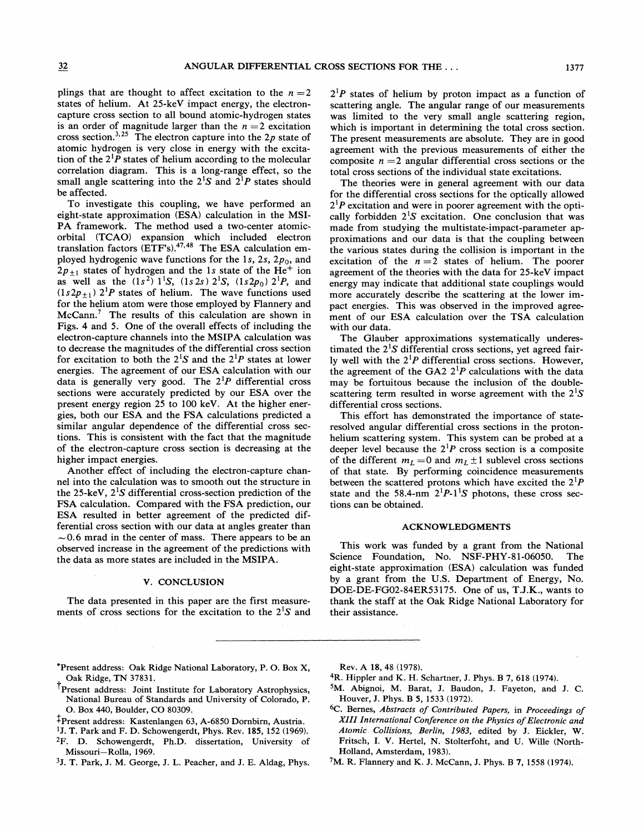plings that are thought to affect excitation to the  $n = 2$ states of helium. At 25-keV impact energy, the electroncapture cross section to all bound atomic-hydrogen states is an order of magnitude larger than the  $n = 2$  excitation cross section.<sup>3,25</sup> The electron capture into the  $2p$  state of atomic hydrogen is very close in energy with the excitation of the  $2^{1}P$  states of helium according to the molecular correlation diagram. This is a long-range effect, so the small angle scattering into the  $2^{1}S$  and  $2^{1}P$  states should be affected.

To investigate this coupling, we have performed an eight-state approximation (ESA) calculation in the MSI-PA framework. The method used a two-center atomicorbital (TCAO) expansion which included electron translation factors  $(ETF's)$ .<sup>47,48</sup> The ESA calculation employed hydrogenic wave functions for the 1s, 2s,  $2p_0$ , and  $2p_{\pm 1}$  states of hydrogen and the 1s state of the He<sup>+</sup> ion as well as the  $(1s^2)$  1<sup>1</sup>S,  $(1s2s)$  2<sup>1</sup>S,  $(1s2p_0)$  2<sup>1</sup>P, and  $(1s2p_{\pm 1})$  2<sup>1</sup>P states of helium. The wave functions used for the helium atom were those employed by Flannery and  $~\text{McCann.}^7$  The results of this calculation are shown in Figs. 4 and 5. One of the overall effects of including the electron-capture channels into the MSIPA calculation was to decrease the magnitudes of the differential cross section for excitation to both the  $2^{1}S$  and the  $2^{1}P$  states at lower energies. The agreement of our ESA calculation with our data is generally very good. The  $2^{1}P$  differential cross sections were accurately predicted by our ESA over the present energy region 25 to 100 keV. At the higher energies, both our ESA and the FSA calculations predicted a similar angular dependence of the differential cross sections. This is consistent with the fact that the magnitude of the electron-capture cross section is decreasing at the higher impact energies.

Another effect of including the electron-capture channel into the calculation was to smooth out the structure in the 25-keV,  $2^1S$  differential cross-section prediction of the FSA calculation. Compared with the FSA prediction, our ESA resulted in better agreement of the predicted differential cross section with our data at angles greater than  $\sim$  0.6 mrad in the center of mass. There appears to be an observed increase in the agreement of the predictions with the data as more states are included in the MSIPA.

#### V. CONCLUSION

The data presented in this paper are the first measurements of cross sections for the excitation to the  $2^1S$  and  $2^1P$  states of helium by proton impact as a function of scattering angle. The angular range of our measurements was limited to the very small angle scattering region, which is important in determining the total cross section. The present measurements are absolute. They are in good agreement with the previous measurements of either the composite  $n = 2$  angular differential cross sections or the total cross sections of the individual state excitations.

The theories were in general agreement with our data for the differential cross sections for the optically allowed  $2^1P$  excitation and were in poorer agreement with the optically forbidden  $2^1S$  excitation. One conclusion that was made from studying the multistate-impact-parameter approximations and our data is that the coupling between the various states during the collision is important in the excitation of the  $n = 2$  states of helium. The poorer agreement of the theories with the data for 25-keV impact energy may indicate that additional state couplings would more accurately describe the scattering at the lower impact energies. This was observed in the improved agreement of our ESA calculation over the TSA calculation with our data.

The Glauber approximations systematically underestimated the  $2^1S$  differential cross sections, yet agreed fairly well with the  $2^{1}P$  differential cross sections. However, the agreement of the GA2  $2^{1}P$  calculations with the data may be fortuitous because the inclusion of the doublescattering term resulted in worse agreement with the  $2^{1}S$ differential cross sections.

This effort has demonstrated the importance of stateresolved angular differential cross sections in the protonhelium scattering system. This system can be probed at a deeper level because the  $2^{1}P$  cross section is a composite of the different  $m_L = 0$  and  $m_L \pm 1$  sublevel cross sections of that state. By performing coincidence measurements between the scattered protons which have excited the  $2^{1}P$ state and the 58.4-nm  $2^{1}P-1^{1}S$  photons, these cross sections can be obtained.

#### ACKNOWLEDGMENTS

This work was funded by a grant from the National Science Foundation, No. NSF-PHY-81-06050. The eight-state approximation (ESA) calculation was funded by a grant from the U.S. Department of Energy, No. DOE-DE-FG02-84ER53175. One of us, T.J.K., wants to thank the staff at the Oak Ridge National Laboratory for their assistance.

- 'Present address: Oak Ridge National Laboratory, P. 0. Box X, Oak Ridge, TN 37831.
- 'present address: Joint Institute for Laboratory Astrophysics, National Bureau of Standards and University of Colorado, P. 0. Box 440, Boulder, CO 80309.
- \$present address: Kastenlangen 63, A-6850 Dornbirn, Austria.
- 'J. T. Park and F. D. Schowengerdt, Phys. Rev. 185, 152 (1969).
- 2F. D. Schowengerdt, Ph.D. dissertation, University of Missouri-Rolla, 1969.
- 3J. T. Park, J. M. George, J. L. Peacher, and J. E. Aldag, Phys.

Rev. A 18, 48 (1978).

- 4R. Hippler and K. H. Schartner, **J.** Phys. B 7, 618 (1974).
- 5M. Abignoi, M. Barat, J. Baudon, J. Fayeton, and J. *C.*  Houver, J. Phys. B 5, 1533 (1972).
- 6C. Bernes, Abstracts of Contributed Papers, in Proceedings of XIII International Conference on the Physics of Electronic and Atomic Collisions, Berlin, 1983, edited by J. Eickler, W. Fritsch, I. V. Hertel, N. Stolterfoht, and U. Wille (North-Holland, Amsterdam, 1983).

7M. R. Flannery and K. J. McCann, J. Phys. B 7, 1558 (1974).